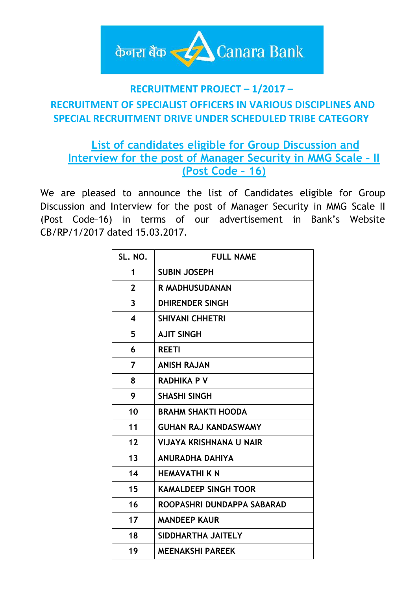

### **RECRUITMENT PROJECT – 1/2017 –**

# **RECRUITMENT OF SPECIALIST OFFICERS IN VARIOUS DISCIPLINES AND SPECIAL RECRUITMENT DRIVE UNDER SCHEDULED TRIBE CATEGORY**

## **List of candidates eligible for Group Discussion and Interview for the post of Manager Security in MMG Scale – II (Post Code – 16)**

We are pleased to announce the list of Candidates eligible for Group Discussion and Interview for the post of Manager Security in MMG Scale II (Post Code–16) in terms of our advertisement in Bank's Website CB/RP/1/2017 dated 15.03.2017.

| SL. NO.                 | <b>FULL NAME</b>               |
|-------------------------|--------------------------------|
| 1                       | <b>SUBIN JOSEPH</b>            |
| $\mathbf{2}$            | R MADHUSUDANAN                 |
| 3                       | DHIRENDER SINGH                |
| $\overline{\mathbf{4}}$ | <b>SHIVANI CHHETRI</b>         |
| 5                       | <b>AJIT SINGH</b>              |
| 6                       | <b>REETI</b>                   |
| 7                       | <b>ANISH RAJAN</b>             |
| 8                       | <b>RADHIKA P V</b>             |
| 9                       | <b>SHASHI SINGH</b>            |
| 10                      | <b>BRAHM SHAKTI HOODA</b>      |
| 11                      | <b>GUHAN RAJ KANDASWAMY</b>    |
| 12                      | <b>VIJAYA KRISHNANA U NAIR</b> |
| 13                      | <b>ANURADHA DAHIYA</b>         |
| 14                      | <b>HEMAVATHI K N</b>           |
| 15                      | <b>KAMALDEEP SINGH TOOR</b>    |
| 16                      | ROOPASHRI DUNDAPPA SABARAD     |
| 17                      | <b>MANDEEP KAUR</b>            |
| 18                      | SIDDHARTHA JAITELY             |
| 19                      | <b>MEENAKSHI PAREEK</b>        |